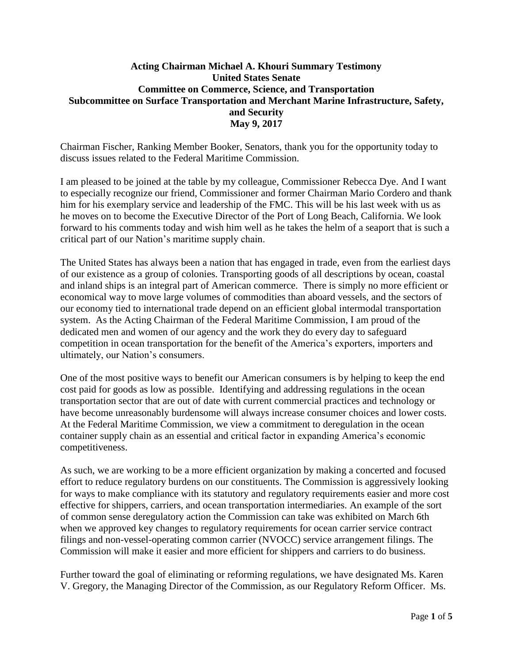## **Acting Chairman Michael A. Khouri Summary Testimony United States Senate Committee on Commerce, Science, and Transportation Subcommittee on Surface Transportation and Merchant Marine Infrastructure, Safety, and Security May 9, 2017**

Chairman Fischer, Ranking Member Booker, Senators, thank you for the opportunity today to discuss issues related to the Federal Maritime Commission.

I am pleased to be joined at the table by my colleague, Commissioner Rebecca Dye. And I want to especially recognize our friend, Commissioner and former Chairman Mario Cordero and thank him for his exemplary service and leadership of the FMC. This will be his last week with us as he moves on to become the Executive Director of the Port of Long Beach, California. We look forward to his comments today and wish him well as he takes the helm of a seaport that is such a critical part of our Nation's maritime supply chain.

The United States has always been a nation that has engaged in trade, even from the earliest days of our existence as a group of colonies. Transporting goods of all descriptions by ocean, coastal and inland ships is an integral part of American commerce. There is simply no more efficient or economical way to move large volumes of commodities than aboard vessels, and the sectors of our economy tied to international trade depend on an efficient global intermodal transportation system. As the Acting Chairman of the Federal Maritime Commission, I am proud of the dedicated men and women of our agency and the work they do every day to safeguard competition in ocean transportation for the benefit of the America's exporters, importers and ultimately, our Nation's consumers.

One of the most positive ways to benefit our American consumers is by helping to keep the end cost paid for goods as low as possible. Identifying and addressing regulations in the ocean transportation sector that are out of date with current commercial practices and technology or have become unreasonably burdensome will always increase consumer choices and lower costs. At the Federal Maritime Commission, we view a commitment to deregulation in the ocean container supply chain as an essential and critical factor in expanding America's economic competitiveness.

As such, we are working to be a more efficient organization by making a concerted and focused effort to reduce regulatory burdens on our constituents. The Commission is aggressively looking for ways to make compliance with its statutory and regulatory requirements easier and more cost effective for shippers, carriers, and ocean transportation intermediaries. An example of the sort of common sense deregulatory action the Commission can take was exhibited on March 6th when we approved key changes to regulatory requirements for ocean carrier service contract filings and non-vessel-operating common carrier (NVOCC) service arrangement filings. The Commission will make it easier and more efficient for shippers and carriers to do business.

Further toward the goal of eliminating or reforming regulations, we have designated Ms. Karen V. Gregory, the Managing Director of the Commission, as our Regulatory Reform Officer. Ms.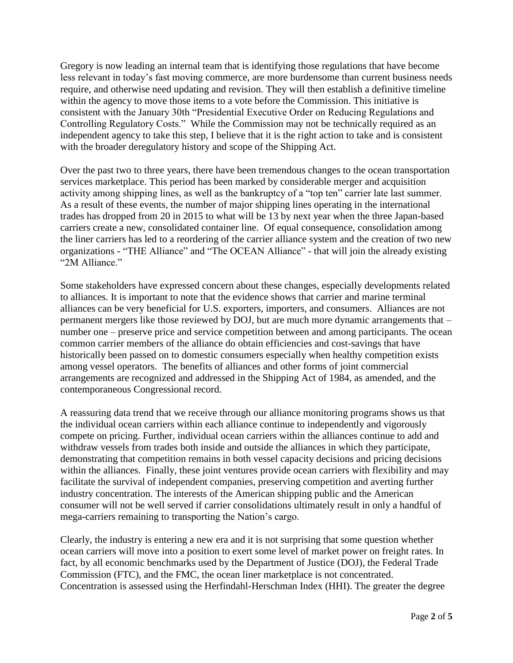Gregory is now leading an internal team that is identifying those regulations that have become less relevant in today's fast moving commerce, are more burdensome than current business needs require, and otherwise need updating and revision. They will then establish a definitive timeline within the agency to move those items to a vote before the Commission. This initiative is consistent with the January 30th "Presidential Executive Order on Reducing Regulations and Controlling Regulatory Costs." While the Commission may not be technically required as an independent agency to take this step, I believe that it is the right action to take and is consistent with the broader deregulatory history and scope of the Shipping Act.

Over the past two to three years, there have been tremendous changes to the ocean transportation services marketplace. This period has been marked by considerable merger and acquisition activity among shipping lines, as well as the bankruptcy of a "top ten" carrier late last summer. As a result of these events, the number of major shipping lines operating in the international trades has dropped from 20 in 2015 to what will be 13 by next year when the three Japan-based carriers create a new, consolidated container line. Of equal consequence, consolidation among the liner carriers has led to a reordering of the carrier alliance system and the creation of two new organizations - "THE Alliance" and "The OCEAN Alliance" - that will join the already existing "2M Alliance."

Some stakeholders have expressed concern about these changes, especially developments related to alliances. It is important to note that the evidence shows that carrier and marine terminal alliances can be very beneficial for U.S. exporters, importers, and consumers. Alliances are not permanent mergers like those reviewed by DOJ, but are much more dynamic arrangements that – number one – preserve price and service competition between and among participants. The ocean common carrier members of the alliance do obtain efficiencies and cost-savings that have historically been passed on to domestic consumers especially when healthy competition exists among vessel operators. The benefits of alliances and other forms of joint commercial arrangements are recognized and addressed in the Shipping Act of 1984, as amended, and the contemporaneous Congressional record.

A reassuring data trend that we receive through our alliance monitoring programs shows us that the individual ocean carriers within each alliance continue to independently and vigorously compete on pricing. Further, individual ocean carriers within the alliances continue to add and withdraw vessels from trades both inside and outside the alliances in which they participate, demonstrating that competition remains in both vessel capacity decisions and pricing decisions within the alliances. Finally, these joint ventures provide ocean carriers with flexibility and may facilitate the survival of independent companies, preserving competition and averting further industry concentration. The interests of the American shipping public and the American consumer will not be well served if carrier consolidations ultimately result in only a handful of mega-carriers remaining to transporting the Nation's cargo.

Clearly, the industry is entering a new era and it is not surprising that some question whether ocean carriers will move into a position to exert some level of market power on freight rates. In fact, by all economic benchmarks used by the Department of Justice (DOJ), the Federal Trade Commission (FTC), and the FMC, the ocean liner marketplace is not concentrated. Concentration is assessed using the Herfindahl-Herschman Index (HHI). The greater the degree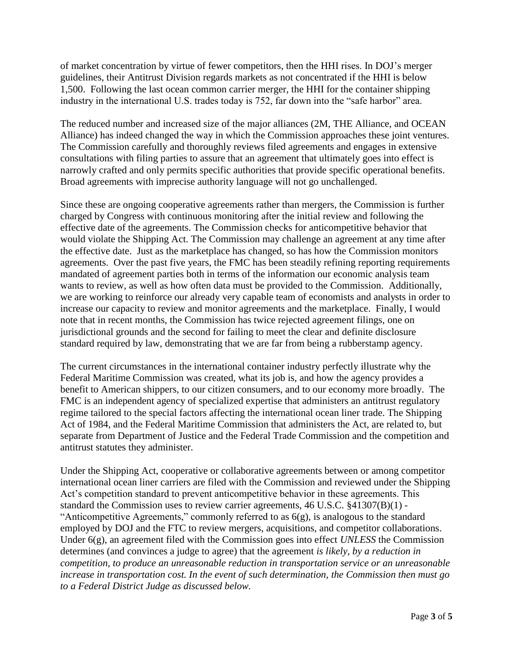of market concentration by virtue of fewer competitors, then the HHI rises. In DOJ's merger guidelines, their Antitrust Division regards markets as not concentrated if the HHI is below 1,500. Following the last ocean common carrier merger, the HHI for the container shipping industry in the international U.S. trades today is 752, far down into the "safe harbor" area.

The reduced number and increased size of the major alliances (2M, THE Alliance, and OCEAN Alliance) has indeed changed the way in which the Commission approaches these joint ventures. The Commission carefully and thoroughly reviews filed agreements and engages in extensive consultations with filing parties to assure that an agreement that ultimately goes into effect is narrowly crafted and only permits specific authorities that provide specific operational benefits. Broad agreements with imprecise authority language will not go unchallenged.

Since these are ongoing cooperative agreements rather than mergers, the Commission is further charged by Congress with continuous monitoring after the initial review and following the effective date of the agreements. The Commission checks for anticompetitive behavior that would violate the Shipping Act. The Commission may challenge an agreement at any time after the effective date. Just as the marketplace has changed, so has how the Commission monitors agreements. Over the past five years, the FMC has been steadily refining reporting requirements mandated of agreement parties both in terms of the information our economic analysis team wants to review, as well as how often data must be provided to the Commission. Additionally, we are working to reinforce our already very capable team of economists and analysts in order to increase our capacity to review and monitor agreements and the marketplace. Finally, I would note that in recent months, the Commission has twice rejected agreement filings, one on jurisdictional grounds and the second for failing to meet the clear and definite disclosure standard required by law, demonstrating that we are far from being a rubberstamp agency.

The current circumstances in the international container industry perfectly illustrate why the Federal Maritime Commission was created, what its job is, and how the agency provides a benefit to American shippers, to our citizen consumers, and to our economy more broadly. The FMC is an independent agency of specialized expertise that administers an antitrust regulatory regime tailored to the special factors affecting the international ocean liner trade. The Shipping Act of 1984, and the Federal Maritime Commission that administers the Act, are related to, but separate from Department of Justice and the Federal Trade Commission and the competition and antitrust statutes they administer.

Under the Shipping Act, cooperative or collaborative agreements between or among competitor international ocean liner carriers are filed with the Commission and reviewed under the Shipping Act's competition standard to prevent anticompetitive behavior in these agreements. This standard the Commission uses to review carrier agreements, 46 U.S.C. §41307(B)(1) - "Anticompetitive Agreements," commonly referred to as  $6(g)$ , is analogous to the standard employed by DOJ and the FTC to review mergers, acquisitions, and competitor collaborations. Under 6(g), an agreement filed with the Commission goes into effect *UNLESS* the Commission determines (and convinces a judge to agree) that the agreement *is likely, by a reduction in competition, to produce an unreasonable reduction in transportation service or an unreasonable increase in transportation cost. In the event of such determination, the Commission then must go to a Federal District Judge as discussed below.*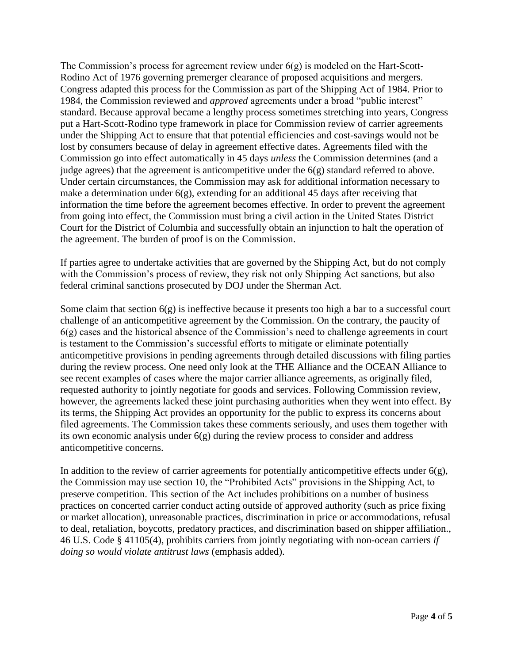The Commission's process for agreement review under 6(g) is modeled on the Hart-Scott-Rodino Act of 1976 governing premerger clearance of proposed acquisitions and mergers. Congress adapted this process for the Commission as part of the Shipping Act of 1984. Prior to 1984, the Commission reviewed and *approved* agreements under a broad "public interest" standard. Because approval became a lengthy process sometimes stretching into years, Congress put a Hart-Scott-Rodino type framework in place for Commission review of carrier agreements under the Shipping Act to ensure that that potential efficiencies and cost-savings would not be lost by consumers because of delay in agreement effective dates. Agreements filed with the Commission go into effect automatically in 45 days *unless* the Commission determines (and a judge agrees) that the agreement is anticompetitive under the  $6(g)$  standard referred to above. Under certain circumstances, the Commission may ask for additional information necessary to make a determination under  $6(g)$ , extending for an additional 45 days after receiving that information the time before the agreement becomes effective. In order to prevent the agreement from going into effect, the Commission must bring a civil action in the United States District Court for the District of Columbia and successfully obtain an injunction to halt the operation of the agreement. The burden of proof is on the Commission.

If parties agree to undertake activities that are governed by the Shipping Act, but do not comply with the Commission's process of review, they risk not only Shipping Act sanctions, but also federal criminal sanctions prosecuted by DOJ under the Sherman Act.

Some claim that section 6(g) is ineffective because it presents too high a bar to a successful court challenge of an anticompetitive agreement by the Commission. On the contrary, the paucity of 6(g) cases and the historical absence of the Commission's need to challenge agreements in court is testament to the Commission's successful efforts to mitigate or eliminate potentially anticompetitive provisions in pending agreements through detailed discussions with filing parties during the review process. One need only look at the THE Alliance and the OCEAN Alliance to see recent examples of cases where the major carrier alliance agreements, as originally filed, requested authority to jointly negotiate for goods and services. Following Commission review, however, the agreements lacked these joint purchasing authorities when they went into effect. By its terms, the Shipping Act provides an opportunity for the public to express its concerns about filed agreements. The Commission takes these comments seriously, and uses them together with its own economic analysis under 6(g) during the review process to consider and address anticompetitive concerns.

In addition to the review of carrier agreements for potentially anticompetitive effects under  $6(g)$ , the Commission may use section 10, the "Prohibited Acts" provisions in the Shipping Act, to preserve competition. This section of the Act includes prohibitions on a number of business practices on concerted carrier conduct acting outside of approved authority (such as price fixing or market allocation), unreasonable practices, discrimination in price or accommodations, refusal to deal, retaliation, boycotts, predatory practices, and discrimination based on shipper affiliation., 46 U.S. Code § 41105(4), prohibits carriers from jointly negotiating with non-ocean carriers *if doing so would violate antitrust laws* (emphasis added).